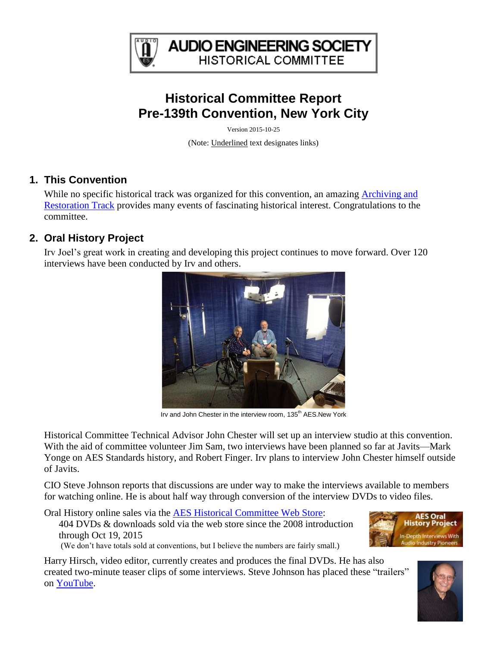

**AUDIO ENGINEERING SOCIETY HISTORICAL COMMITTEE** 

# **Historical Committee Report Pre-139th Convention, New York City**

Version 2015-10-25

(Note: Underlined text designates links)

### **1. This Convention**

While no specific historical track was organized for this convention, an amazing Archiving and [Restoration Track](http://www.aes.org/events/139/archiving/) provides many events of fascinating historical interest. Congratulations to the committee.

# **2. Oral History Project**

Irv Joel's great work in creating and developing this project continues to move forward. Over 120 interviews have been conducted by Irv and others.



Irv and John Chester in the interview room, 135<sup>th</sup> AES.New York

Historical Committee Technical Advisor John Chester will set up an interview studio at this convention. With the aid of committee volunteer Jim Sam, two interviews have been planned so far at Javits—Mark Yonge on AES Standards history, and Robert Finger. Irv plans to interview John Chester himself outside of Javits.

CIO Steve Johnson reports that discussions are under way to make the interviews available to members for watching online. He is about half way through conversion of the interview DVDs to video files.

Oral History online sales via the [AES Historical Committee Web Store:](http://www.aes.org/historical/store/oralhistory/) 404 DVDs & downloads sold via the web store since the 2008 introduction through Oct 19, 2015 (We don't have totals sold at conventions, but I believe the numbers are fairly small.)

Harry Hirsch, video editor, currently creates and produces the final DVDs. He has also created two-minute teaser clips of some interviews. Steve Johnson has placed these "trailers" on [YouTube.](http://www.youtube.com/results?search_query=AES+Oral+History&aq=f)